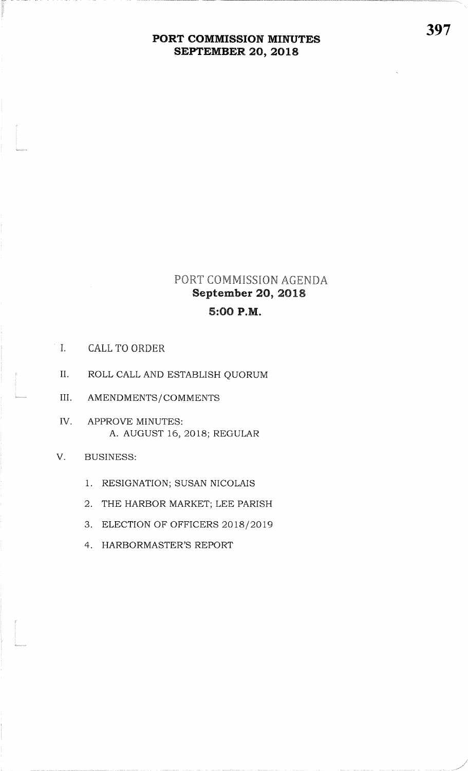## PORT COMMISSION AGENDA September 2O, 20185:OO P.M.

I. CALL TO ORDER

te alle service.<br>The control of the control of the control of the control of the control of the control of the control of the c<br>The control of the control of the control of the control of the control of the control of the

l<br>Lintropolis

l<br>Manazarta

l<br>Literatur

- II. ROLL CALL AND ESTABLISH QUORUM
- III. AMENDMENTS/COMMENTS
- IVAPPROVE MINUTES:A. AUGUST 16, 2Ol8; REGULAR
- V. BUSINESS:
	- 1. RESIGNATION; SUSAN NICOLAIS
	- 2. THE HARBOR MARKET; LEE PARISH
	- 3. ELECTION OF OFFICERS 2018/2019
	- 4. HARBORMASTER'S REPORT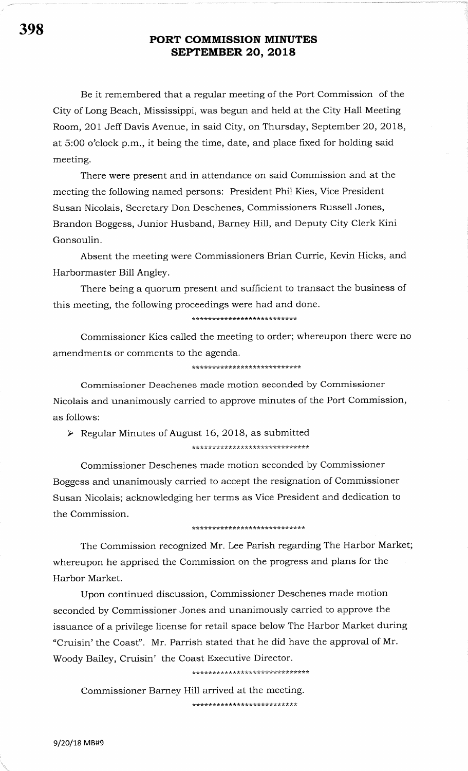Be it remembered that a regular meeting of the Port Commission of the City of Long Beach, Mississippi, was begun and held at the City Hall Meeting Room, 201 Jeff Davis Avenue, in said City, on Thursday, September 20,2OI8, at 5:00 o'clock p.m., it being the time, date, and place fixed for holding said meeting.

There were present and in attendance on said Commission and at the meeting the following named persons: President Phil Kies, Vice President Susan Nicolais, Secretary Don Deschenes, Commissioners Russell Jones, Brandon Boggess, Junior Husband, Barney Hill, and Deputy City Clerk Kini Gonsoulin.

Absent the meeting were Commissioners Brian Currie, Kevin Hicks, and Harborrnaster Bill Angley.

There being a quorum present and sufficient to transact the business of this meeting, the following proceedings were had and done.

\*\*\*\*\*\*\*\*\*\*\*\*\*\*\*\*\*\*\*\*\*\*\*\*\*\*

Commissioner Kies called the meeting to order; whereupon there were no amendments or comments to the agenda.

\*\*\*\*\*\*\*\*\*\* \* tr\* \* \*\*\*\*\*\*\*\* tr\*t(\*?k

Commissioner Deschenes made motion seconded by Commissioner Nicolais and unanimously carried to approve minutes of the Port Commission, as follows:

 $\triangleright$  Regular Minutes of August 16, 2018, as submitted \*\*trtr,r?hrk\*\*\* tr \* \*\*\*\*\*\*\*\*\*rkt(tt'!h\*\*\*\*

Commissioner Deschenes made motion seconded by Commissioner Boggess and unanimously carried to accept the resignation of Commissioner Susan Nicolais; acknowledging her terms as Vice President and dedication to the Commission.

#### \*\*\*\* trrk\*\*\*\*\*\*\*\*\*\*\*\*\*\*\*\* r(\*\*\*\*\*

The Commission recognized Mr. Lee Parish regarding The Harbor Market; whereupon he apprised the Commission on the progress and plans for the Harbor Market.

Upon continued discussion, Commissioner Deschenes made motion seconded by Commissioner Jones and unanimously carried to approve the issuance of a privilege license for retail space below The Harbor Market during "Cruisin'the Coast". Mr. Parrish stated that he did have the approval of Mr. Woody Bailey, Cruisin' the Coast Executive Director.

\*\*\*\*\*\*\*\*\*\*\*\*\*\*\*\*\*\*\*\*\*\*\*\*\*\*\*\*\*\*

Commissioner Barney Hill arrived at the meeting \* \*\*\*\*\* \* \*\*\*\*\*\*\*\*\*\*\* \*\*\*\*\*\*\*\*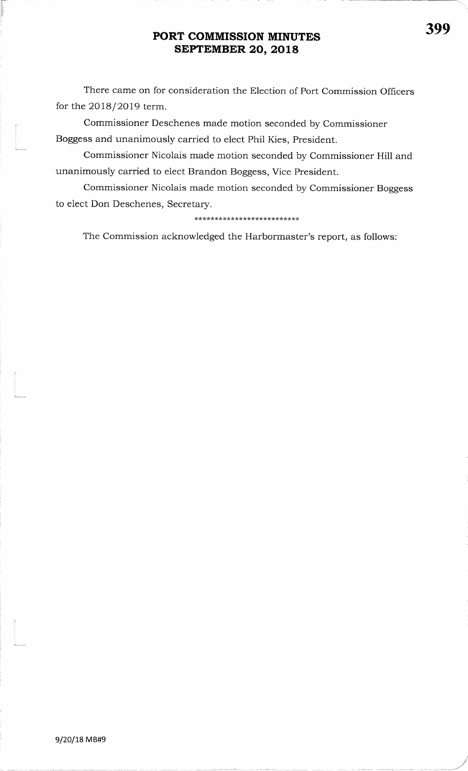There came on for consideration the Election of Port Commission Officersfor the 2OI8/2O19 term.

Commissioner Deschenes made motion seconded by CommissionerBoggess and unanimously carried to elect Phil Kies, President.

Commissioner Nicolais made motion seconded by Commissioner Hill andunanimously carried to elect Brandon Boggess, Vice President.

Commissioner Nicolais made motion seconded by Commissioner Boggessto elect Don Deschenes, Secretary.

\*\*\*\*\*\*\*\*\*\*\*\*\*\*\*\*\*\*\*\*\*\*\*\*\*\*

The Commission acknowledged the Harbormaster's report, as follows:

)

l<br>Linuxera

l<br>Maturanga

l<br>Magnagay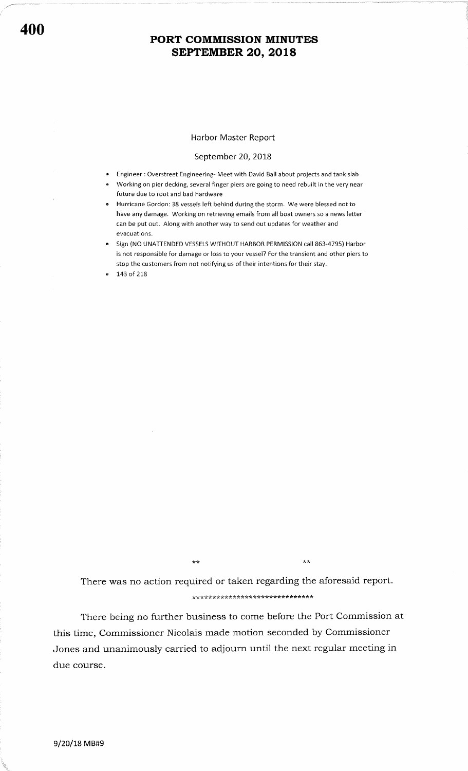#### Harbor Master Report

#### September 20, 2018

- Engineer : Overstreet Engineering- Meet with David Ball about projects and tank slab
- r Working on pier decking, several finger piers are going to need rebuilt in the very near future due to root and bad hardware
- Hurricane Gordon: 38 vessels left behind during the storm. We were blessed not to have any damage. Working on retrieving emails from all boat owners so a news letter can be put out. Along with another way to send out updates for weather and evacuations.
- Sign (NO UNATTENDED VESSELS WITHOUT HARBOR PERMISSION call 863-4795) Harbor is not responsible for damage or loss to your vessel? For the transient and other piers to stop the customers from not notifying us of their intentions for their stay.
- 143 of 218

\* \*\* \* tc\* r( ?k rh?k \* \*\*\* \* tr ?k \* tr \* \* \*\* \*\* \*\* \*\*\* There was no action required or taken regarding the aforesaid report

\*\*

There being no further business to come before the Port Commission at this time, Commissioner Nicolais made motion seconded by Commissioner Jones and unanimously carried to adjourn until the next regular meeting in due course.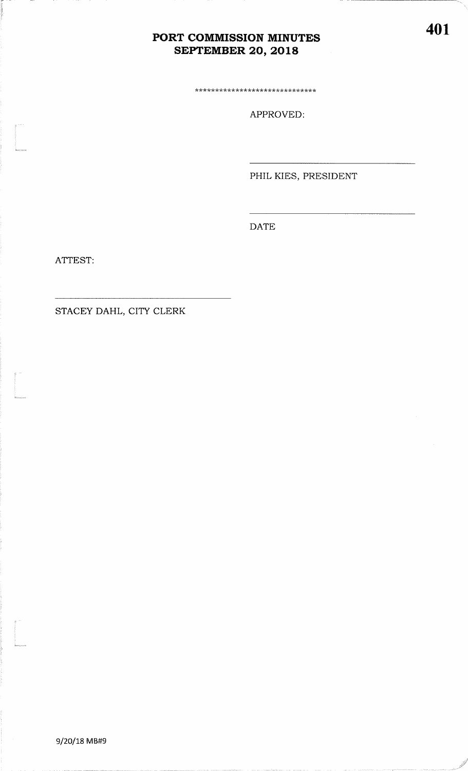\*\*\*\*\*\*\*\*\*\*\*\*\*\*\*\*\*\*\*\*\*\*\*\*\*\*\*\*\*\*

APPROVED:

PHIL KIES, PRESIDENT

**DATE** 

ATTEST:

STACEY DAHL, CITY CLERK